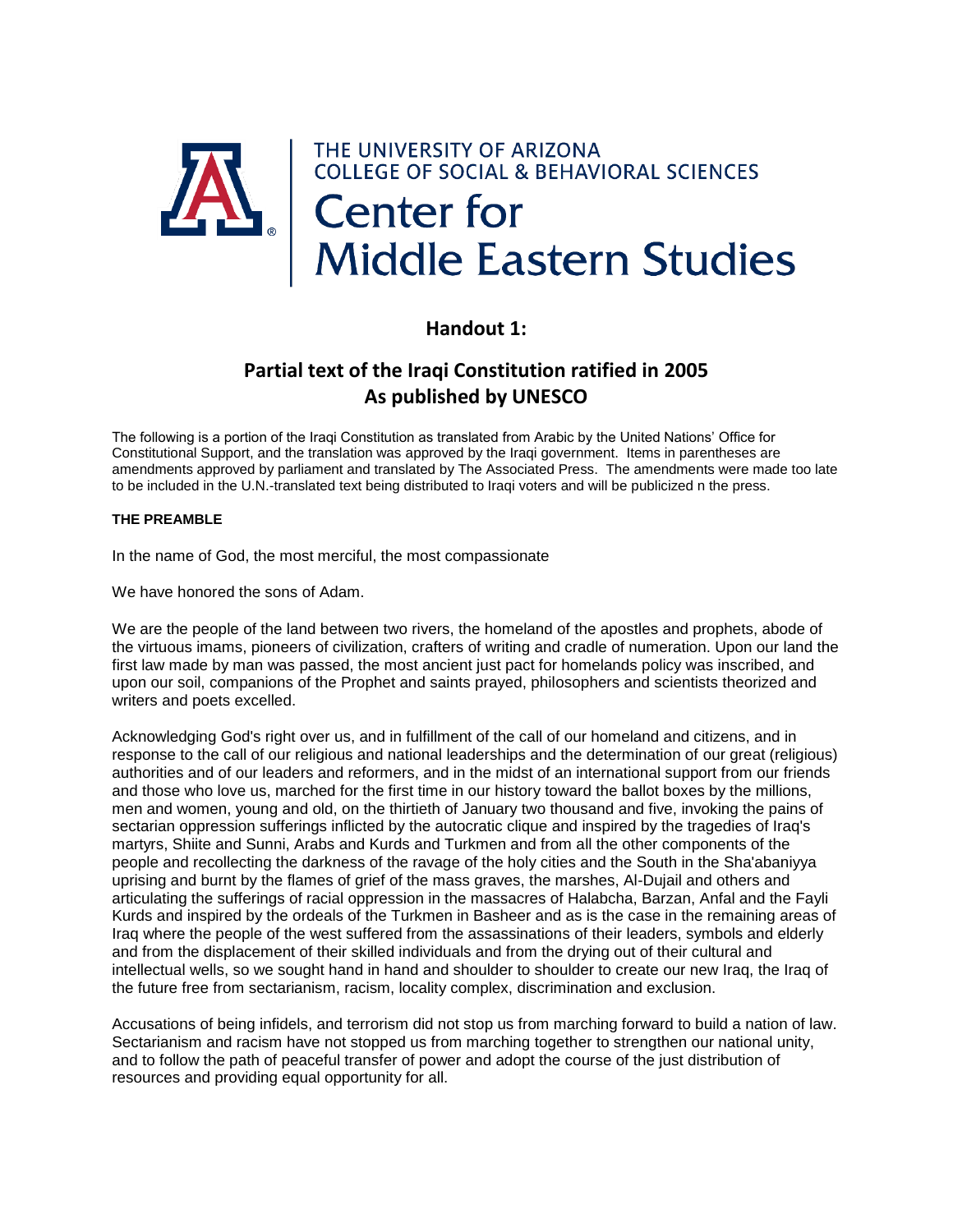

# **Partial text of the Iraqi Constitution ratified in 2005 As published by UNESCO**

The following is a portion of the Iraqi Constitution as translated from Arabic by the United Nations' Office for Constitutional Support, and the translation was approved by the Iraqi government. Items in parentheses are amendments approved by parliament and translated by The Associated Press. The amendments were made too late to be included in the U.N.-translated text being distributed to Iraqi voters and will be publicized n the press.

# **THE PREAMBLE**

In the name of God, the most merciful, the most compassionate

We have honored the sons of Adam.

We are the people of the land between two rivers, the homeland of the apostles and prophets, abode of the virtuous imams, pioneers of civilization, crafters of writing and cradle of numeration. Upon our land the first law made by man was passed, the most ancient just pact for homelands policy was inscribed, and upon our soil, companions of the Prophet and saints prayed, philosophers and scientists theorized and writers and poets excelled.

Acknowledging God's right over us, and in fulfillment of the call of our homeland and citizens, and in response to the call of our religious and national leaderships and the determination of our great (religious) authorities and of our leaders and reformers, and in the midst of an international support from our friends and those who love us, marched for the first time in our history toward the ballot boxes by the millions, men and women, young and old, on the thirtieth of January two thousand and five, invoking the pains of sectarian oppression sufferings inflicted by the autocratic clique and inspired by the tragedies of Iraq's martyrs, Shiite and Sunni, Arabs and Kurds and Turkmen and from all the other components of the people and recollecting the darkness of the ravage of the holy cities and the South in the Sha'abaniyya uprising and burnt by the flames of grief of the mass graves, the marshes, Al-Dujail and others and articulating the sufferings of racial oppression in the massacres of Halabcha, Barzan, Anfal and the Fayli Kurds and inspired by the ordeals of the Turkmen in Basheer and as is the case in the remaining areas of Iraq where the people of the west suffered from the assassinations of their leaders, symbols and elderly and from the displacement of their skilled individuals and from the drying out of their cultural and intellectual wells, so we sought hand in hand and shoulder to shoulder to create our new Iraq, the Iraq of the future free from sectarianism, racism, locality complex, discrimination and exclusion.

Accusations of being infidels, and terrorism did not stop us from marching forward to build a nation of law. Sectarianism and racism have not stopped us from marching together to strengthen our national unity, and to follow the path of peaceful transfer of power and adopt the course of the just distribution of resources and providing equal opportunity for all.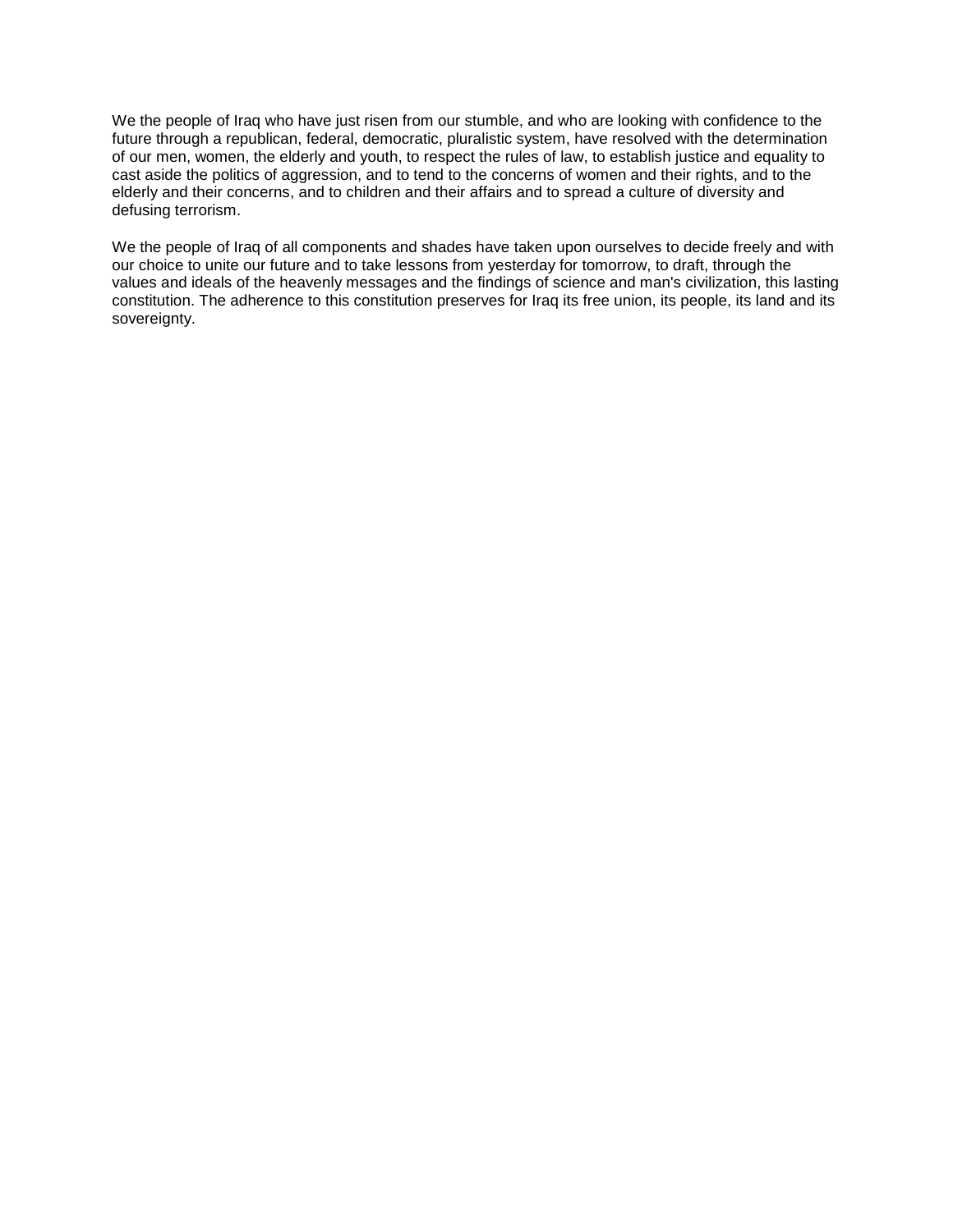We the people of Iraq who have just risen from our stumble, and who are looking with confidence to the future through a republican, federal, democratic, pluralistic system, have resolved with the determination of our men, women, the elderly and youth, to respect the rules of law, to establish justice and equality to cast aside the politics of aggression, and to tend to the concerns of women and their rights, and to the elderly and their concerns, and to children and their affairs and to spread a culture of diversity and defusing terrorism.

We the people of Iraq of all components and shades have taken upon ourselves to decide freely and with our choice to unite our future and to take lessons from yesterday for tomorrow, to draft, through the values and ideals of the heavenly messages and the findings of science and man's civilization, this lasting constitution. The adherence to this constitution preserves for Iraq its free union, its people, its land and its sovereignty.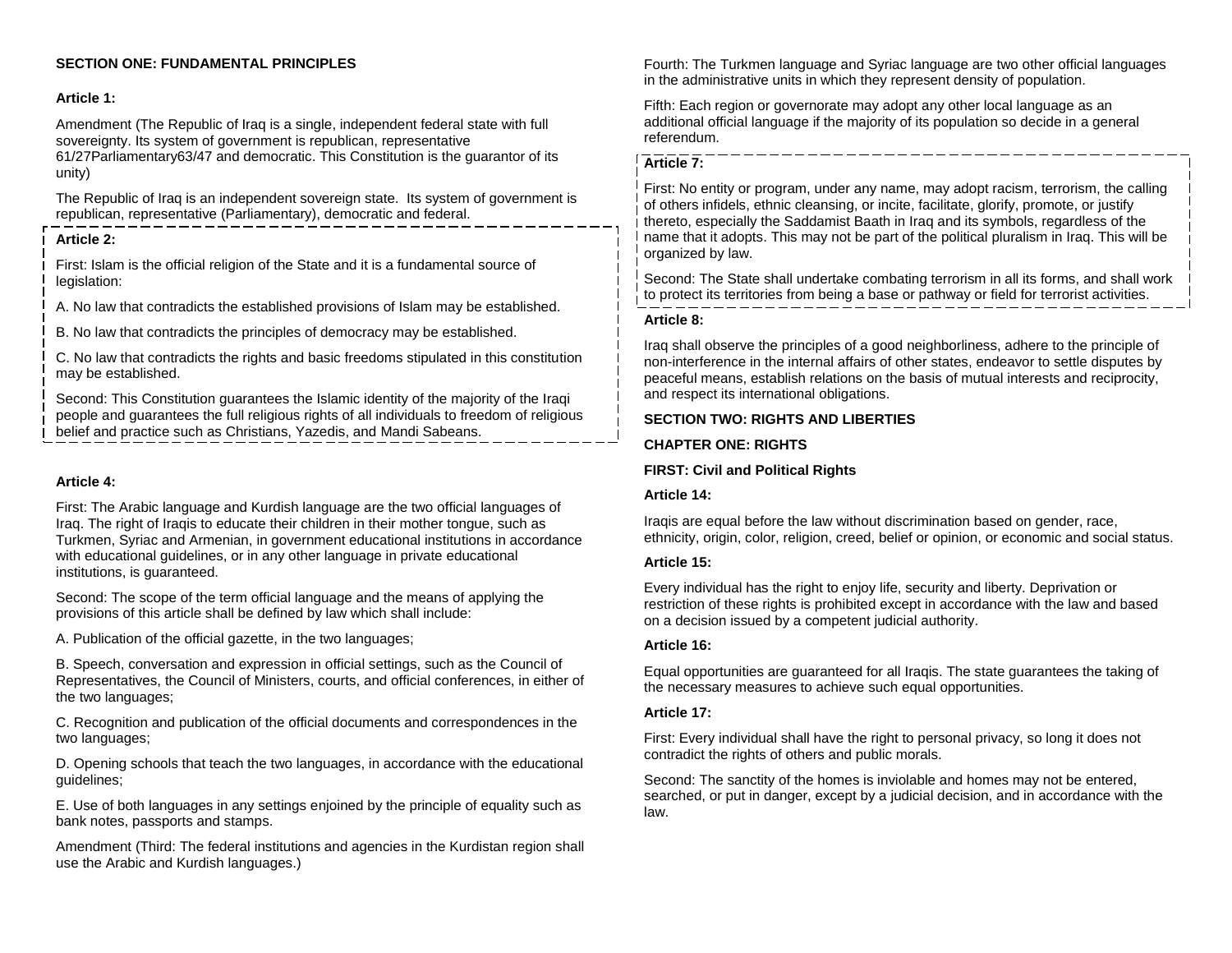# **SECTION ONE: FUNDAMENTAL PRINCIPLES**

# **Article 1:**

Amendment (The Republic of Iraq is a single, independent federal state with full sovereignty. Its system of government is republican, representative 61/27Parliamentary63/47 and democratic. This Constitution is the guarantor of its unity)

The Republic of Iraq is an independent sovereign state. Its system of government is republican, representative (Parliamentary), democratic and federal.

#### **Article 2:**

First: Islam is the official religion of the State and it is a fundamental source of legislation:

A. No law that contradicts the established provisions of Islam may be established.

B. No law that contradicts the principles of democracy may be established.

C. No law that contradicts the rights and basic freedoms stipulated in this constitution may be established.

Second: This Constitution guarantees the Islamic identity of the majority of the Iraqi people and guarantees the full religious rights of all individuals to freedom of religious belief and practice such as Christians, Yazedis, and Mandi Sabeans.

#### **Article 4:**

First: The Arabic language and Kurdish language are the two official languages of Iraq. The right of Iraqis to educate their children in their mother tongue, such as Turkmen, Syriac and Armenian, in government educational institutions in accordance with educational guidelines, or in any other language in private educational institutions, is guaranteed.

Second: The scope of the term official language and the means of applying the provisions of this article shall be defined by law which shall include:

A. Publication of the official gazette, in the two languages;

B. Speech, conversation and expression in official settings, such as the Council of Representatives, the Council of Ministers, courts, and official conferences, in either of the two languages;

C. Recognition and publication of the official documents and correspondences in the two languages;

D. Opening schools that teach the two languages, in accordance with the educational guidelines;

E. Use of both languages in any settings enjoined by the principle of equality such as bank notes, passports and stamps.

Amendment (Third: The federal institutions and agencies in the Kurdistan region shall use the Arabic and Kurdish languages.)

Fourth: The Turkmen language and Syriac language are two other official languages in the administrative units in which they represent density of population.

Fifth: Each region or governorate may adopt any other local language as an additional official language if the majority of its population so decide in a general referendum.

#### **Article 7:**

First: No entity or program, under any name, may adopt racism, terrorism, the calling of others infidels, ethnic cleansing, or incite, facilitate, glorify, promote, or justify thereto, especially the Saddamist Baath in Iraq and its symbols, regardless of the name that it adopts. This may not be part of the political pluralism in Iraq. This will be organized by law.

Second: The State shall undertake combating terrorism in all its forms, and shall work to protect its territories from being a base or pathway or field for terrorist activities. **Article 8:**

Iraq shall observe the principles of a good neighborliness, adhere to the principle of non-interference in the internal affairs of other states, endeavor to settle disputes by peaceful means, establish relations on the basis of mutual interests and reciprocity, and respect its international obligations.

## **SECTION TWO: RIGHTS AND LIBERTIES**

#### **CHAPTER ONE: RIGHTS**

#### **FIRST: Civil and Political Rights**

#### **Article 14:**

Iraqis are equal before the law without discrimination based on gender, race, ethnicity, origin, color, religion, creed, belief or opinion, or economic and social status.

#### **Article 15:**

Every individual has the right to enjoy life, security and liberty. Deprivation or restriction of these rights is prohibited except in accordance with the law and based on a decision issued by a competent judicial authority.

#### **Article 16:**

Equal opportunities are guaranteed for all Iraqis. The state guarantees the taking of the necessary measures to achieve such equal opportunities.

#### **Article 17:**

First: Every individual shall have the right to personal privacy, so long it does not contradict the rights of others and public morals.

Second: The sanctity of the homes is inviolable and homes may not be entered, searched, or put in danger, except by a judicial decision, and in accordance with the law.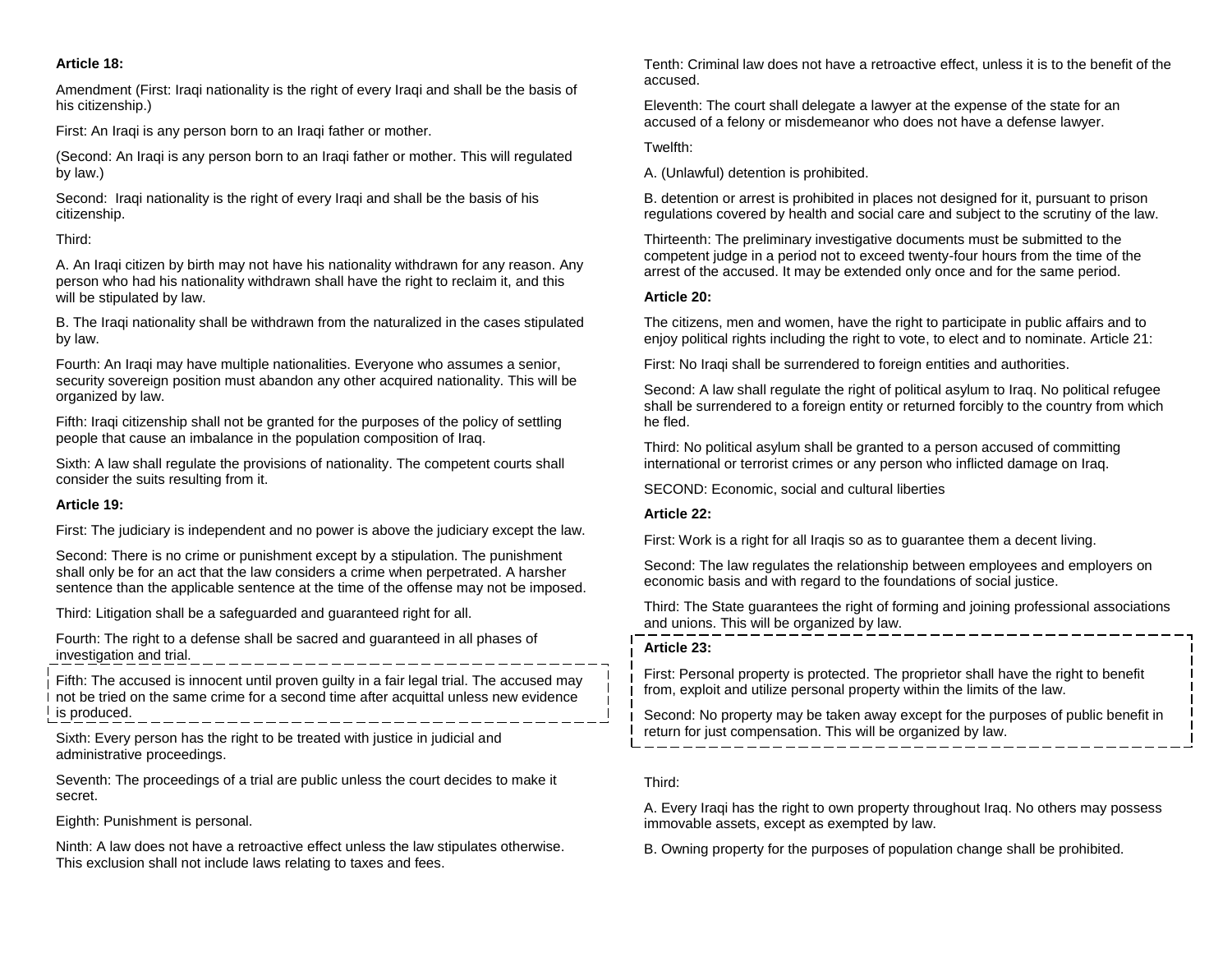## **Article 18:**

Amendment (First: Iraqi nationality is the right of every Iraqi and shall be the basis of his citizenship.)

First: An Iraqi is any person born to an Iraqi father or mother.

(Second: An Iraqi is any person born to an Iraqi father or mother. This will regulated by law.)

Second: Iraqi nationality is the right of every Iraqi and shall be the basis of his citizenship.

# Third:

A. An Iraqi citizen by birth may not have his nationality withdrawn for any reason. Any person who had his nationality withdrawn shall have the right to reclaim it, and this will be stipulated by law.

B. The Iraqi nationality shall be withdrawn from the naturalized in the cases stipulated by law.

Fourth: An Iraqi may have multiple nationalities. Everyone who assumes a senior, security sovereign position must abandon any other acquired nationality. This will be organized by law.

Fifth: Iraqi citizenship shall not be granted for the purposes of the policy of settling people that cause an imbalance in the population composition of Iraq.

Sixth: A law shall regulate the provisions of nationality. The competent courts shall consider the suits resulting from it.

# **Article 19:**

First: The judiciary is independent and no power is above the judiciary except the law.

Second: There is no crime or punishment except by a stipulation. The punishment shall only be for an act that the law considers a crime when perpetrated. A harsher sentence than the applicable sentence at the time of the offense may not be imposed.

Third: Litigation shall be a safeguarded and guaranteed right for all.

Fourth: The right to a defense shall be sacred and guaranteed in all phases of investigation and trial.<br>
<u>
</u>

Fifth: The accused is innocent until proven guilty in a fair legal trial. The accused may not be tried on the same crime for a second time after acquittal unless new evidence is produced. ---------------------------------

Sixth: Every person has the right to be treated with justice in judicial and administrative proceedings.

Seventh: The proceedings of a trial are public unless the court decides to make it secret.

Eighth: Punishment is personal.

Ninth: A law does not have a retroactive effect unless the law stipulates otherwise. This exclusion shall not include laws relating to taxes and fees.

Tenth: Criminal law does not have a retroactive effect, unless it is to the benefit of the accused.

Eleventh: The court shall delegate a lawyer at the expense of the state for an accused of a felony or misdemeanor who does not have a defense lawyer.

Twelfth:

A. (Unlawful) detention is prohibited.

B. detention or arrest is prohibited in places not designed for it, pursuant to prison regulations covered by health and social care and subject to the scrutiny of the law.

Thirteenth: The preliminary investigative documents must be submitted to the competent judge in a period not to exceed twenty-four hours from the time of the arrest of the accused. It may be extended only once and for the same period.

# **Article 20:**

The citizens, men and women, have the right to participate in public affairs and to enjoy political rights including the right to vote, to elect and to nominate. Article 21:

First: No Iragi shall be surrendered to foreign entities and authorities.

Second: A law shall regulate the right of political asylum to Iraq. No political refugee shall be surrendered to a foreign entity or returned forcibly to the country from which he fled.

Third: No political asylum shall be granted to a person accused of committing international or terrorist crimes or any person who inflicted damage on Iraq.

SECOND: Economic, social and cultural liberties

# **Article 22:**

First: Work is a right for all Iraqis so as to guarantee them a decent living.

Second: The law regulates the relationship between employees and employers on economic basis and with regard to the foundations of social justice.

Third: The State guarantees the right of forming and joining professional associations and unions. This will be organized by law.

# **Article 23:**

First: Personal property is protected. The proprietor shall have the right to benefit from, exploit and utilize personal property within the limits of the law.

Second: No property may be taken away except for the purposes of public benefit in return for just compensation. This will be organized by law.

#### Third:

A. Every Iraqi has the right to own property throughout Iraq. No others may possess immovable assets, except as exempted by law.

B. Owning property for the purposes of population change shall be prohibited.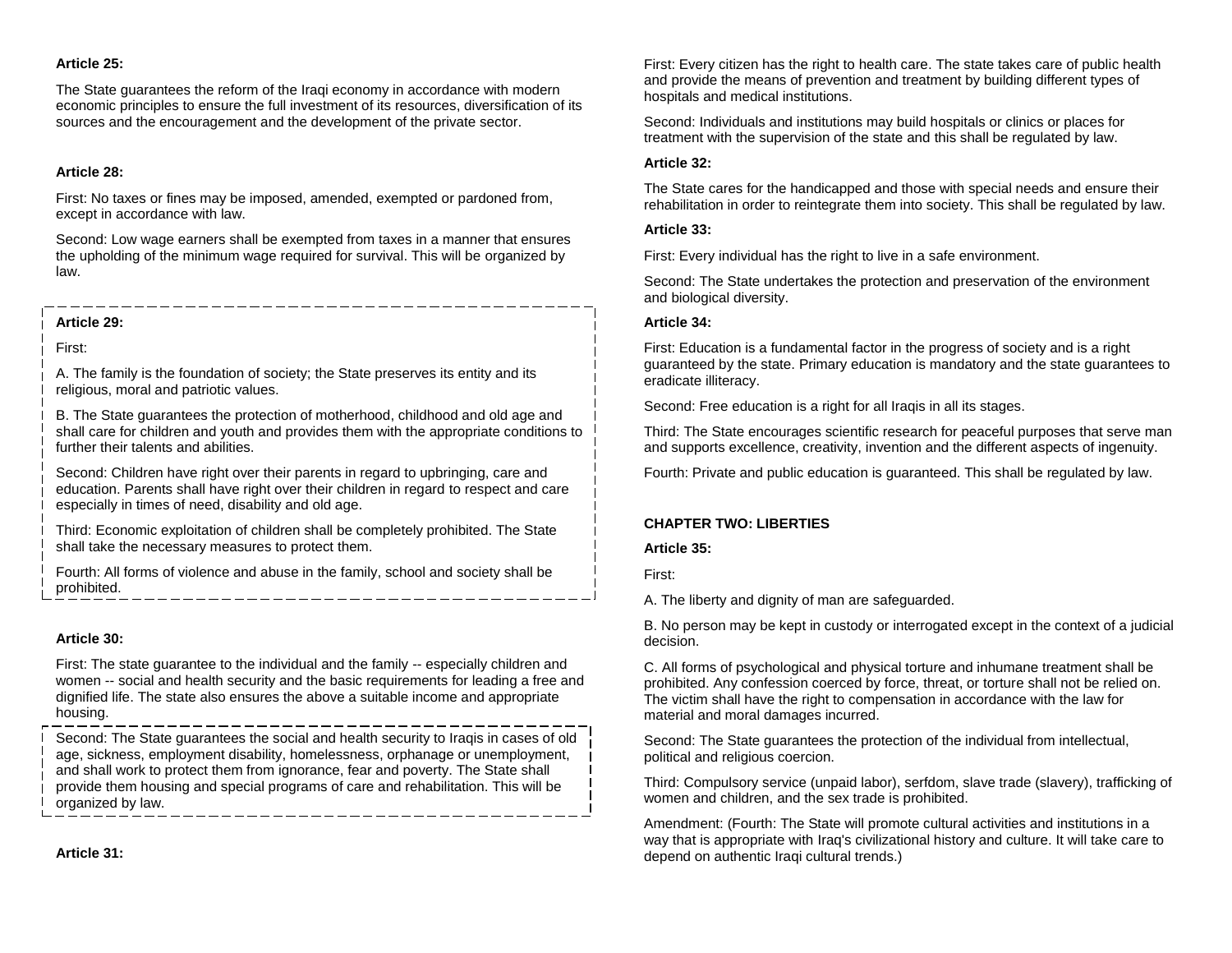#### **Article 25:**

The State guarantees the reform of the Iraqi economy in accordance with modern economic principles to ensure the full investment of its resources, diversification of its sources and the encouragement and the development of the private sector.

#### **Article 28:**

First: No taxes or fines may be imposed, amended, exempted or pardoned from, except in accordance with law.

Second: Low wage earners shall be exempted from taxes in a manner that ensures the upholding of the minimum wage required for survival. This will be organized by law.

#### **Article 29:**

First:

A. The family is the foundation of society; the State preserves its entity and its religious, moral and patriotic values.

\_\_\_\_\_\_\_\_\_\_\_\_\_\_\_\_\_\_\_\_\_\_\_\_\_\_\_

B. The State guarantees the protection of motherhood, childhood and old age and shall care for children and youth and provides them with the appropriate conditions to further their talents and abilities.

Second: Children have right over their parents in regard to upbringing, care and education. Parents shall have right over their children in regard to respect and care especially in times of need, disability and old age.

Third: Economic exploitation of children shall be completely prohibited. The State shall take the necessary measures to protect them.

Fourth: All forms of violence and abuse in the family, school and society shall be prohibited.

#### **Article 30:**

First: The state guarantee to the individual and the family -- especially children and women -- social and health security and the basic requirements for leading a free and dignified life. The state also ensures the above a suitable income and appropriate housing.

Second: The State guarantees the social and health security to Iraqis in cases of old age, sickness, employment disability, homelessness, orphanage or unemployment, and shall work to protect them from ignorance, fear and poverty. The State shall provide them housing and special programs of care and rehabilitation. This will be organized by law.

**Article 31:**

First: Every citizen has the right to health care. The state takes care of public health and provide the means of prevention and treatment by building different types of hospitals and medical institutions.

Second: Individuals and institutions may build hospitals or clinics or places for treatment with the supervision of the state and this shall be regulated by law.

#### **Article 32:**

The State cares for the handicapped and those with special needs and ensure their rehabilitation in order to reintegrate them into society. This shall be regulated by law.

#### **Article 33:**

First: Every individual has the right to live in a safe environment.

Second: The State undertakes the protection and preservation of the environment and biological diversity.

#### **Article 34:**

First: Education is a fundamental factor in the progress of society and is a right guaranteed by the state. Primary education is mandatory and the state guarantees to eradicate illiteracy.

Second: Free education is a right for all Iraqis in all its stages.

Third: The State encourages scientific research for peaceful purposes that serve man and supports excellence, creativity, invention and the different aspects of ingenuity.

Fourth: Private and public education is guaranteed. This shall be regulated by law.

#### **CHAPTER TWO: LIBERTIES**

**Article 35:**

First:

A. The liberty and dignity of man are safeguarded.

B. No person may be kept in custody or interrogated except in the context of a judicial decision.

C. All forms of psychological and physical torture and inhumane treatment shall be prohibited. Any confession coerced by force, threat, or torture shall not be relied on. The victim shall have the right to compensation in accordance with the law for material and moral damages incurred.

Second: The State guarantees the protection of the individual from intellectual, political and religious coercion.

Third: Compulsory service (unpaid labor), serfdom, slave trade (slavery), trafficking of women and children, and the sex trade is prohibited.

Amendment: (Fourth: The State will promote cultural activities and institutions in a way that is appropriate with Iraq's civilizational history and culture. It will take care to depend on authentic Iraqi cultural trends.)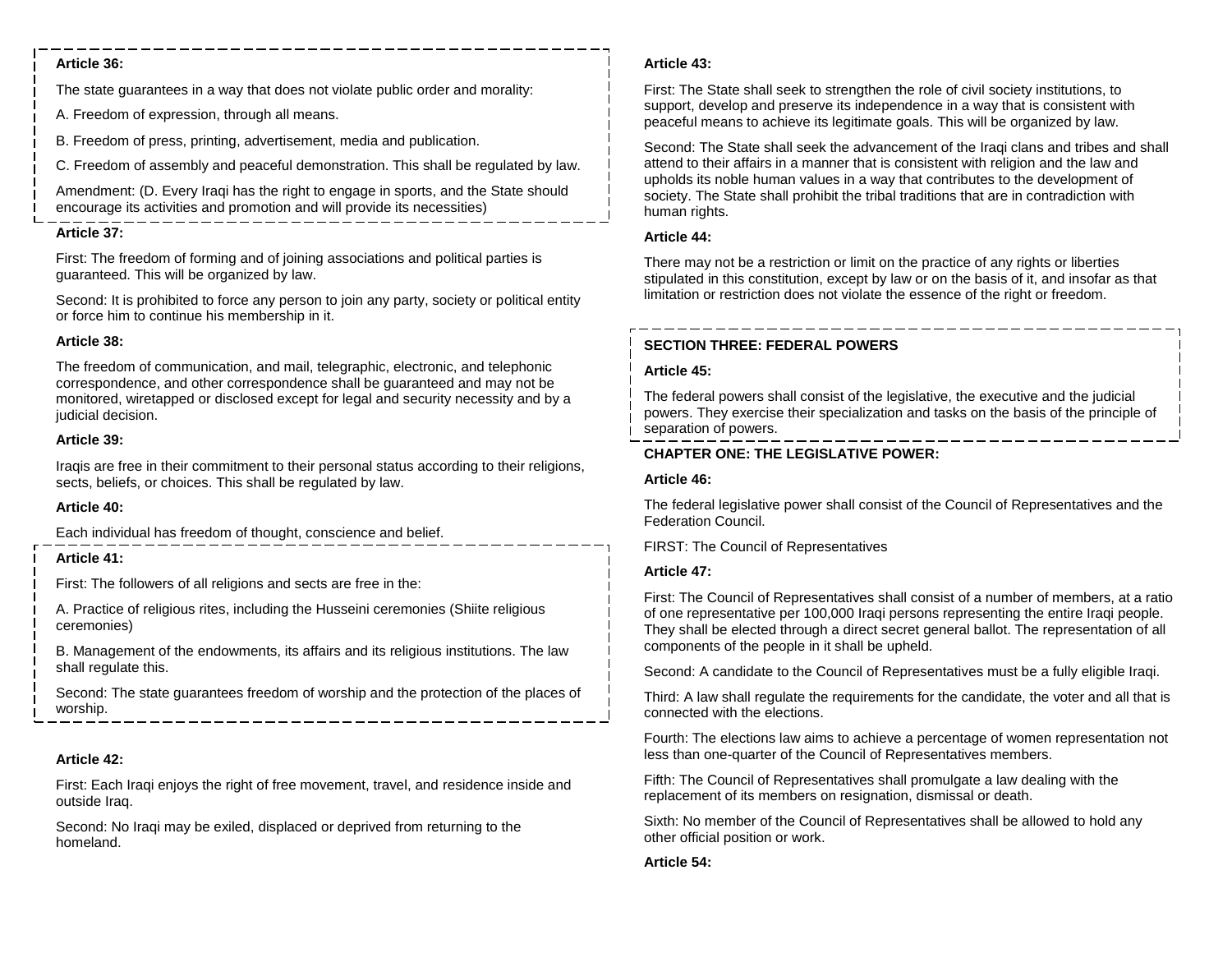#### **Article 36:**

The state guarantees in a way that does not violate public order and morality:

A. Freedom of expression, through all means.

B. Freedom of press, printing, advertisement, media and publication.

C. Freedom of assembly and peaceful demonstration. This shall be regulated by law.

Amendment: (D. Every Iraqi has the right to engage in sports, and the State should encourage its activities and promotion and will provide its necessities)

#### **Article 37:**

First: The freedom of forming and of joining associations and political parties is guaranteed. This will be organized by law.

Second: It is prohibited to force any person to join any party, society or political entity or force him to continue his membership in it.

# **Article 38:**

The freedom of communication, and mail, telegraphic, electronic, and telephonic correspondence, and other correspondence shall be guaranteed and may not be monitored, wiretapped or disclosed except for legal and security necessity and by a judicial decision.

#### **Article 39:**

Iraqis are free in their commitment to their personal status according to their religions, sects, beliefs, or choices. This shall be regulated by law.

# **Article 40:**

Each individual has freedom of thought, conscience and belief.

#### **Article 41:**

First: The followers of all religions and sects are free in the:

A. Practice of religious rites, including the Husseini ceremonies (Shiite religious ceremonies)

B. Management of the endowments, its affairs and its religious institutions. The law shall regulate this.

Second: The state guarantees freedom of worship and the protection of the places of worship.

#### **Article 42:**

First: Each Iraqi enjoys the right of free movement, travel, and residence inside and outside Iraq.

Second: No Iraqi may be exiled, displaced or deprived from returning to the homeland.

# **Article 43:**

First: The State shall seek to strengthen the role of civil society institutions, to support, develop and preserve its independence in a way that is consistent with peaceful means to achieve its legitimate goals. This will be organized by law.

Second: The State shall seek the advancement of the Iraqi clans and tribes and shall attend to their affairs in a manner that is consistent with religion and the law and upholds its noble human values in a way that contributes to the development of society. The State shall prohibit the tribal traditions that are in contradiction with human rights.

# **Article 44:**

There may not be a restriction or limit on the practice of any rights or liberties stipulated in this constitution, except by law or on the basis of it, and insofar as that limitation or restriction does not violate the essence of the right or freedom.

# **SECTION THREE: FEDERAL POWERS**

#### **Article 45:**

The federal powers shall consist of the legislative, the executive and the judicial powers. They exercise their specialization and tasks on the basis of the principle of separation of powers.

# **CHAPTER ONE: THE LEGISLATIVE POWER:**

#### **Article 46:**

The federal legislative power shall consist of the Council of Representatives and the Federation Council.

FIRST: The Council of Representatives

#### **Article 47:**

First: The Council of Representatives shall consist of a number of members, at a ratio of one representative per 100,000 Iraqi persons representing the entire Iraqi people. They shall be elected through a direct secret general ballot. The representation of all components of the people in it shall be upheld.

Second: A candidate to the Council of Representatives must be a fully eligible Iraqi.

Third: A law shall regulate the requirements for the candidate, the voter and all that is connected with the elections.

Fourth: The elections law aims to achieve a percentage of women representation not less than one-quarter of the Council of Representatives members.

Fifth: The Council of Representatives shall promulgate a law dealing with the replacement of its members on resignation, dismissal or death.

Sixth: No member of the Council of Representatives shall be allowed to hold any other official position or work.

**Article 54:**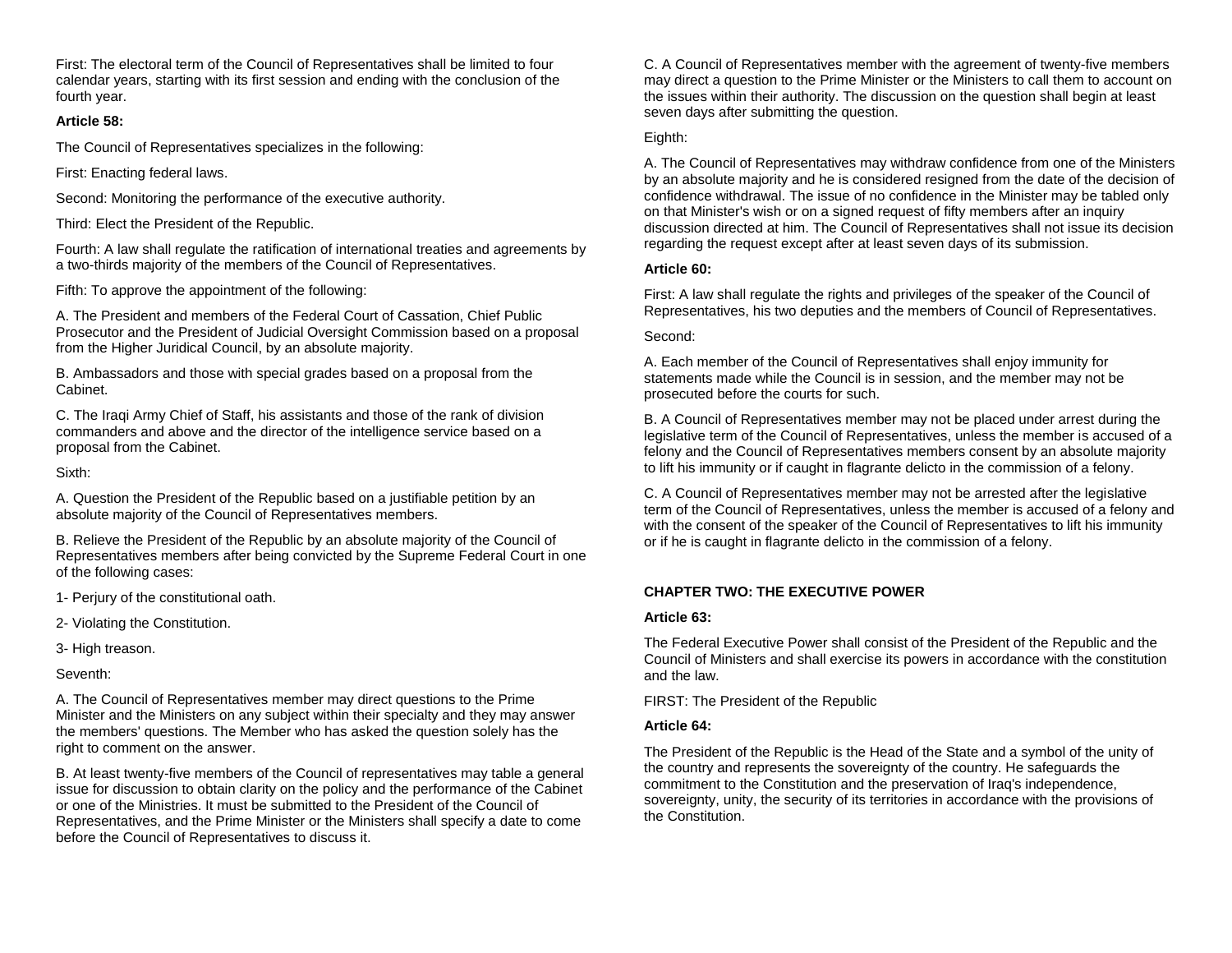First: The electoral term of the Council of Representatives shall be limited to four calendar years, starting with its first session and ending with the conclusion of the fourth year.

# **Article 58:**

The Council of Representatives specializes in the following:

First: Enacting federal laws.

Second: Monitoring the performance of the executive authority.

Third: Elect the President of the Republic.

Fourth: A law shall regulate the ratification of international treaties and agreements by a two-thirds majority of the members of the Council of Representatives.

Fifth: To approve the appointment of the following:

A. The President and members of the Federal Court of Cassation, Chief Public Prosecutor and the President of Judicial Oversight Commission based on a proposal from the Higher Juridical Council, by an absolute majority.

B. Ambassadors and those with special grades based on a proposal from the Cabinet.

C. The Iraqi Army Chief of Staff, his assistants and those of the rank of division commanders and above and the director of the intelligence service based on a proposal from the Cabinet.

# Sixth:

A. Question the President of the Republic based on a justifiable petition by an absolute majority of the Council of Representatives members.

B. Relieve the President of the Republic by an absolute majority of the Council of Representatives members after being convicted by the Supreme Federal Court in one of the following cases:

- 1- Perjury of the constitutional oath.
- 2- Violating the Constitution.

3- High treason.

# Seventh:

A. The Council of Representatives member may direct questions to the Prime Minister and the Ministers on any subject within their specialty and they may answer the members' questions. The Member who has asked the question solely has the right to comment on the answer.

B. At least twenty-five members of the Council of representatives may table a general issue for discussion to obtain clarity on the policy and the performance of the Cabinet or one of the Ministries. It must be submitted to the President of the Council of Representatives, and the Prime Minister or the Ministers shall specify a date to come before the Council of Representatives to discuss it.

C. A Council of Representatives member with the agreement of twenty-five members may direct a question to the Prime Minister or the Ministers to call them to account on the issues within their authority. The discussion on the question shall begin at least seven days after submitting the question.

Eighth:

A. The Council of Representatives may withdraw confidence from one of the Ministers by an absolute majority and he is considered resigned from the date of the decision of confidence withdrawal. The issue of no confidence in the Minister may be tabled only on that Minister's wish or on a signed request of fifty members after an inquiry discussion directed at him. The Council of Representatives shall not issue its decision regarding the request except after at least seven days of its submission.

# **Article 60:**

First: A law shall regulate the rights and privileges of the speaker of the Council of Representatives, his two deputies and the members of Council of Representatives.

#### Second:

A. Each member of the Council of Representatives shall enjoy immunity for statements made while the Council is in session, and the member may not be prosecuted before the courts for such.

B. A Council of Representatives member may not be placed under arrest during the legislative term of the Council of Representatives, unless the member is accused of a felony and the Council of Representatives members consent by an absolute majority to lift his immunity or if caught in flagrante delicto in the commission of a felony.

C. A Council of Representatives member may not be arrested after the legislative term of the Council of Representatives, unless the member is accused of a felony and with the consent of the speaker of the Council of Representatives to lift his immunity or if he is caught in flagrante delicto in the commission of a felony.

# **CHAPTER TWO: THE EXECUTIVE POWER**

# **Article 63:**

The Federal Executive Power shall consist of the President of the Republic and the Council of Ministers and shall exercise its powers in accordance with the constitution and the law.

FIRST: The President of the Republic

# **Article 64:**

The President of the Republic is the Head of the State and a symbol of the unity of the country and represents the sovereignty of the country. He safeguards the commitment to the Constitution and the preservation of Iraq's independence, sovereignty, unity, the security of its territories in accordance with the provisions of the Constitution.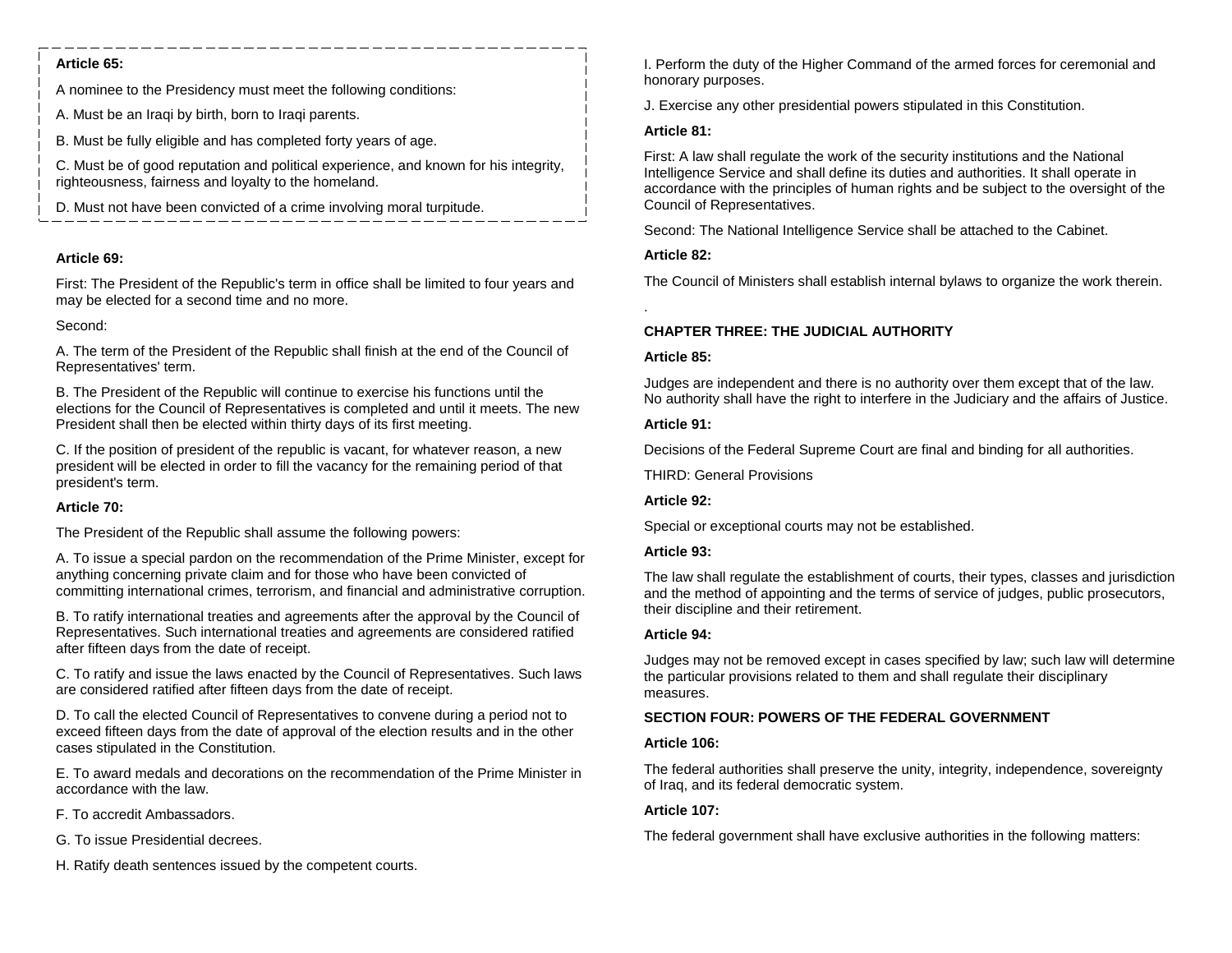#### **Article 65:**

A nominee to the Presidency must meet the following conditions:

A. Must be an Iraqi by birth, born to Iraqi parents.

B. Must be fully eligible and has completed forty years of age.

C. Must be of good reputation and political experience, and known for his integrity, righteousness, fairness and loyalty to the homeland.

D. Must not have been convicted of a crime involving moral turpitude.

#### **Article 69:**

First: The President of the Republic's term in office shall be limited to four years and may be elected for a second time and no more.

#### Second:

A. The term of the President of the Republic shall finish at the end of the Council of Representatives' term.

B. The President of the Republic will continue to exercise his functions until the elections for the Council of Representatives is completed and until it meets. The new President shall then be elected within thirty days of its first meeting.

C. If the position of president of the republic is vacant, for whatever reason, a new president will be elected in order to fill the vacancy for the remaining period of that president's term.

#### **Article 70:**

The President of the Republic shall assume the following powers:

A. To issue a special pardon on the recommendation of the Prime Minister, except for anything concerning private claim and for those who have been convicted of committing international crimes, terrorism, and financial and administrative corruption.

B. To ratify international treaties and agreements after the approval by the Council of Representatives. Such international treaties and agreements are considered ratified after fifteen days from the date of receipt.

C. To ratify and issue the laws enacted by the Council of Representatives. Such laws are considered ratified after fifteen days from the date of receipt.

D. To call the elected Council of Representatives to convene during a period not to exceed fifteen days from the date of approval of the election results and in the other cases stipulated in the Constitution.

E. To award medals and decorations on the recommendation of the Prime Minister in accordance with the law.

- F. To accredit Ambassadors.
- G. To issue Presidential decrees.

H. Ratify death sentences issued by the competent courts.

I. Perform the duty of the Higher Command of the armed forces for ceremonial and honorary purposes.

J. Exercise any other presidential powers stipulated in this Constitution.

#### **Article 81:**

First: A law shall regulate the work of the security institutions and the National Intelligence Service and shall define its duties and authorities. It shall operate in accordance with the principles of human rights and be subject to the oversight of the Council of Representatives.

Second: The National Intelligence Service shall be attached to the Cabinet.

#### **Article 82:**

.

The Council of Ministers shall establish internal bylaws to organize the work therein.

#### **CHAPTER THREE: THE JUDICIAL AUTHORITY**

#### **Article 85:**

Judges are independent and there is no authority over them except that of the law. No authority shall have the right to interfere in the Judiciary and the affairs of Justice.

#### **Article 91:**

Decisions of the Federal Supreme Court are final and binding for all authorities.

THIRD: General Provisions

#### **Article 92:**

Special or exceptional courts may not be established.

#### **Article 93:**

The law shall regulate the establishment of courts, their types, classes and jurisdiction and the method of appointing and the terms of service of judges, public prosecutors, their discipline and their retirement.

#### **Article 94:**

Judges may not be removed except in cases specified by law; such law will determine the particular provisions related to them and shall regulate their disciplinary measures.

#### **SECTION FOUR: POWERS OF THE FEDERAL GOVERNMENT**

#### **Article 106:**

The federal authorities shall preserve the unity, integrity, independence, sovereignty of Iraq, and its federal democratic system.

#### **Article 107:**

The federal government shall have exclusive authorities in the following matters: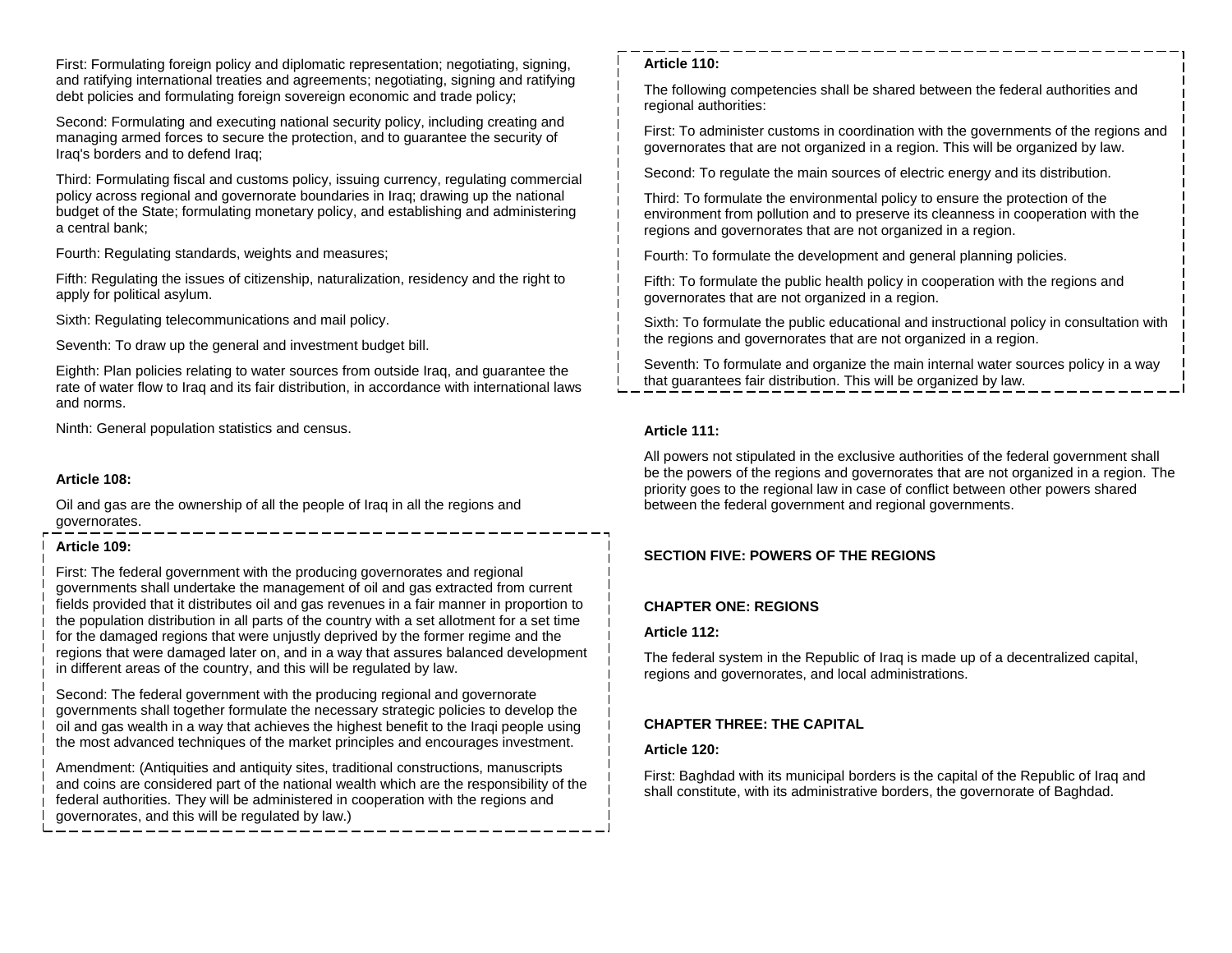First: Formulating foreign policy and diplomatic representation; negotiating, signing, and ratifying international treaties and agreements; negotiating, signing and ratifying debt policies and formulating foreign sovereign economic and trade policy;

Second: Formulating and executing national security policy, including creating and managing armed forces to secure the protection, and to guarantee the security of Iraq's borders and to defend Iraq;

Third: Formulating fiscal and customs policy, issuing currency, regulating commercial policy across regional and governorate boundaries in Iraq; drawing up the national budget of the State; formulating monetary policy, and establishing and administering a central bank;

Fourth: Regulating standards, weights and measures;

Fifth: Regulating the issues of citizenship, naturalization, residency and the right to apply for political asylum.

Sixth: Regulating telecommunications and mail policy.

Seventh: To draw up the general and investment budget bill.

Eighth: Plan policies relating to water sources from outside Iraq, and guarantee the rate of water flow to Iraq and its fair distribution, in accordance with international laws and norms.

Ninth: General population statistics and census.

# **Article 108:**

Oil and gas are the ownership of all the people of Iraq in all the regions and governorates.

# **Article 109:**

First: The federal government with the producing governorates and regional governments shall undertake the management of oil and gas extracted from current fields provided that it distributes oil and gas revenues in a fair manner in proportion to the population distribution in all parts of the country with a set allotment for a set time for the damaged regions that were unjustly deprived by the former regime and the regions that were damaged later on, and in a way that assures balanced development in different areas of the country, and this will be regulated by law.

Second: The federal government with the producing regional and governorate governments shall together formulate the necessary strategic policies to develop the oil and gas wealth in a way that achieves the highest benefit to the Iraqi people using the most advanced techniques of the market principles and encourages investment.

Amendment: (Antiquities and antiquity sites, traditional constructions, manuscripts and coins are considered part of the national wealth which are the responsibility of the federal authorities. They will be administered in cooperation with the regions and governorates, and this will be regulated by law.)

#### **Article 110:**

The following competencies shall be shared between the federal authorities and regional authorities:

First: To administer customs in coordination with the governments of the regions and governorates that are not organized in a region. This will be organized by law.

Second: To regulate the main sources of electric energy and its distribution.

Third: To formulate the environmental policy to ensure the protection of the environment from pollution and to preserve its cleanness in cooperation with the regions and governorates that are not organized in a region.

Fourth: To formulate the development and general planning policies.

Fifth: To formulate the public health policy in cooperation with the regions and governorates that are not organized in a region.

Sixth: To formulate the public educational and instructional policy in consultation with the regions and governorates that are not organized in a region.

Seventh: To formulate and organize the main internal water sources policy in a way that guarantees fair distribution. This will be organized by law.

# **Article 111:**

All powers not stipulated in the exclusive authorities of the federal government shall be the powers of the regions and governorates that are not organized in a region. The priority goes to the regional law in case of conflict between other powers shared between the federal government and regional governments.

# **SECTION FIVE: POWERS OF THE REGIONS**

# **CHAPTER ONE: REGIONS**

#### **Article 112:**

The federal system in the Republic of Iraq is made up of a decentralized capital, regions and governorates, and local administrations.

# **CHAPTER THREE: THE CAPITAL**

# **Article 120:**

First: Baghdad with its municipal borders is the capital of the Republic of Iraq and shall constitute, with its administrative borders, the governorate of Baghdad.